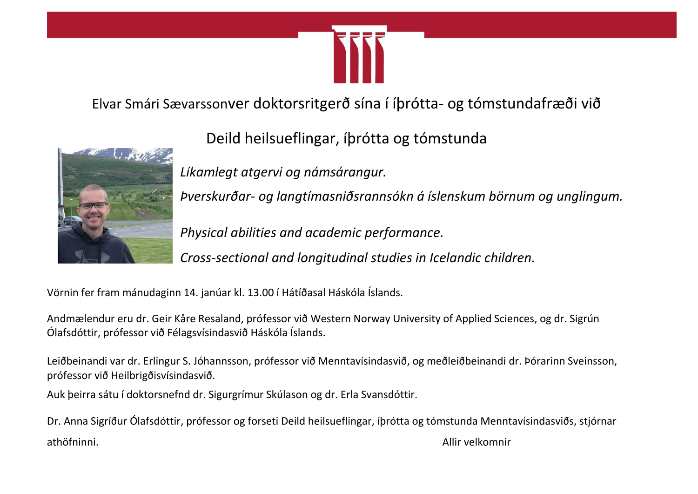

Elvar Smári Sævarssonver doktorsritgerð sína í íþrótta- og tómstundafræði við



Deild heilsueflingar, íþrótta og tómstunda

*Líkamlegt atgervi og námsárangur.*

*Þverskurðar- og langtímasniðsrannsókn á íslenskum börnum og unglingum.*

*Physical abilities and academic performance.*

*Cross-sectional and longitudinal studies in Icelandic children.*

Vörnin fer fram mánudaginn 14. janúar kl. 13.00 í Hátíðasal Háskóla Íslands.

Andmælendur eru dr. Geir Kåre Resaland, prófessor við Western Norway University of Applied Sciences, og dr. Sigrún Ólafsdóttir, prófessor við Félagsvísindasvið Háskóla Íslands.

Leiðbeinandi var dr. Erlingur S. Jóhannsson, prófessor við Menntavísindasvið, og meðleiðbeinandi dr. Þórarinn Sveinsson, prófessor við Heilbrigðisvísindasvið.

Auk þeirra sátu í doktorsnefnd dr. Sigurgrímur Skúlason og dr. Erla Svansdóttir.

Dr. Anna Sigríður Ólafsdóttir, prófessor og forseti Deild heilsueflingar, íþrótta og tómstunda Menntavísindasviðs, stjórnar athöfninni. Allir velkomnir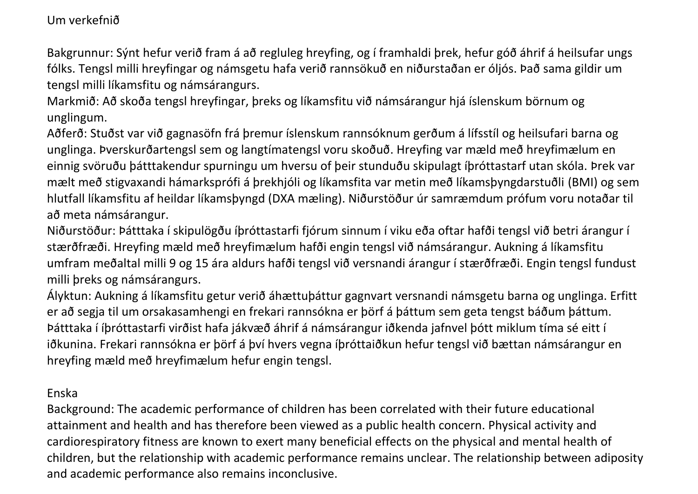## Um verkefnið

Bakgrunnur: Sýnt hefur verið fram á að regluleg hreyfing, og í framhaldi þrek, hefur góð áhrif á heilsufar ungs fólks. Tengsl milli hreyfingar og námsgetu hafa verið rannsökuð en niðurstaðan er óljós. Það sama gildir um tengsl milli líkamsfitu og námsárangurs.

Markmið: Að skoða tengsl hreyfingar, þreks og líkamsfitu við námsárangur hjá íslenskum börnum og unglingum.

Aðferð: Stuðst var við gagnasöfn frá þremur íslenskum rannsóknum gerðum á lífsstíl og heilsufari barna og unglinga. Þverskurðartengsl sem og langtímatengsl voru skoðuð. Hreyfing var mæld með hreyfimælum en einnig svöruðu þátttakendur spurningu um hversu of þeir stunduðu skipulagt íþróttastarf utan skóla. Þrek var mælt með stigvaxandi hámarksprófi á þrekhjóli og líkamsfita var metin með líkamsþyngdarstuðli (BMI) og sem hlutfall líkamsfitu af heildar líkamsþyngd (DXA mæling). Niðurstöður úr samræmdum prófum voru notaðar til að meta námsárangur.

Niðurstöður: Þátttaka í skipulögðu íþróttastarfi fjórum sinnum í viku eða oftar hafði tengsl við betri árangur í stærðfræði. Hreyfing mæld með hreyfimælum hafði engin tengsl við námsárangur. Aukning á líkamsfitu umfram meðaltal milli 9 og 15 ára aldurs hafði tengsl við versnandi árangur í stærðfræði. Engin tengsl fundust milli þreks og námsárangurs.

Ályktun: Aukning á líkamsfitu getur verið áhættuþáttur gagnvart versnandi námsgetu barna og unglinga. Erfitt er að segja til um orsakasamhengi en frekari rannsókna er þörf á þáttum sem geta tengst báðum þáttum. Þátttaka í íþróttastarfi virðist hafa jákvæð áhrif á námsárangur iðkenda jafnvel þótt miklum tíma sé eitt í iðkunina. Frekari rannsókna er þörf á því hvers vegna íþróttaiðkun hefur tengsl við bættan námsárangur en hreyfing mæld með hreyfimælum hefur engin tengsl.

## Enska

Background: The academic performance of children has been correlated with their future educational attainment and health and has therefore been viewed as a public health concern. Physical activity and cardiorespiratory fitness are known to exert many beneficial effects on the physical and mental health of children, but the relationship with academic performance remains unclear. The relationship between adiposity and academic performance also remains inconclusive.